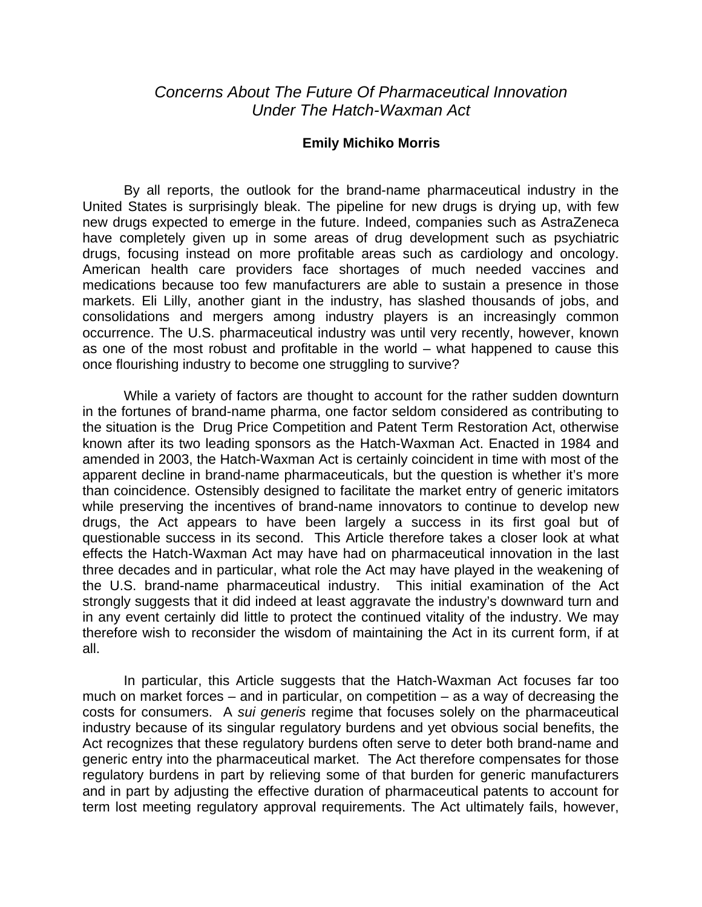## *Concerns About The Future Of Pharmaceutical Innovation Under The Hatch-Waxman Act*

## **Emily Michiko Morris**

By all reports, the outlook for the brand-name pharmaceutical industry in the United States is surprisingly bleak. The pipeline for new drugs is drying up, with few new drugs expected to emerge in the future. Indeed, companies such as AstraZeneca have completely given up in some areas of drug development such as psychiatric drugs, focusing instead on more profitable areas such as cardiology and oncology. American health care providers face shortages of much needed vaccines and medications because too few manufacturers are able to sustain a presence in those markets. Eli Lilly, another giant in the industry, has slashed thousands of jobs, and consolidations and mergers among industry players is an increasingly common occurrence. The U.S. pharmaceutical industry was until very recently, however, known as one of the most robust and profitable in the world – what happened to cause this once flourishing industry to become one struggling to survive?

While a variety of factors are thought to account for the rather sudden downturn in the fortunes of brand-name pharma, one factor seldom considered as contributing to the situation is the Drug Price Competition and Patent Term Restoration Act, otherwise known after its two leading sponsors as the Hatch-Waxman Act. Enacted in 1984 and amended in 2003, the Hatch-Waxman Act is certainly coincident in time with most of the apparent decline in brand-name pharmaceuticals, but the question is whether it's more than coincidence. Ostensibly designed to facilitate the market entry of generic imitators while preserving the incentives of brand-name innovators to continue to develop new drugs, the Act appears to have been largely a success in its first goal but of questionable success in its second. This Article therefore takes a closer look at what effects the Hatch-Waxman Act may have had on pharmaceutical innovation in the last three decades and in particular, what role the Act may have played in the weakening of the U.S. brand-name pharmaceutical industry. This initial examination of the Act strongly suggests that it did indeed at least aggravate the industry's downward turn and in any event certainly did little to protect the continued vitality of the industry. We may therefore wish to reconsider the wisdom of maintaining the Act in its current form, if at all.

In particular, this Article suggests that the Hatch-Waxman Act focuses far too much on market forces – and in particular, on competition – as a way of decreasing the costs for consumers. A *sui generis* regime that focuses solely on the pharmaceutical industry because of its singular regulatory burdens and yet obvious social benefits, the Act recognizes that these regulatory burdens often serve to deter both brand-name and generic entry into the pharmaceutical market. The Act therefore compensates for those regulatory burdens in part by relieving some of that burden for generic manufacturers and in part by adjusting the effective duration of pharmaceutical patents to account for term lost meeting regulatory approval requirements. The Act ultimately fails, however,